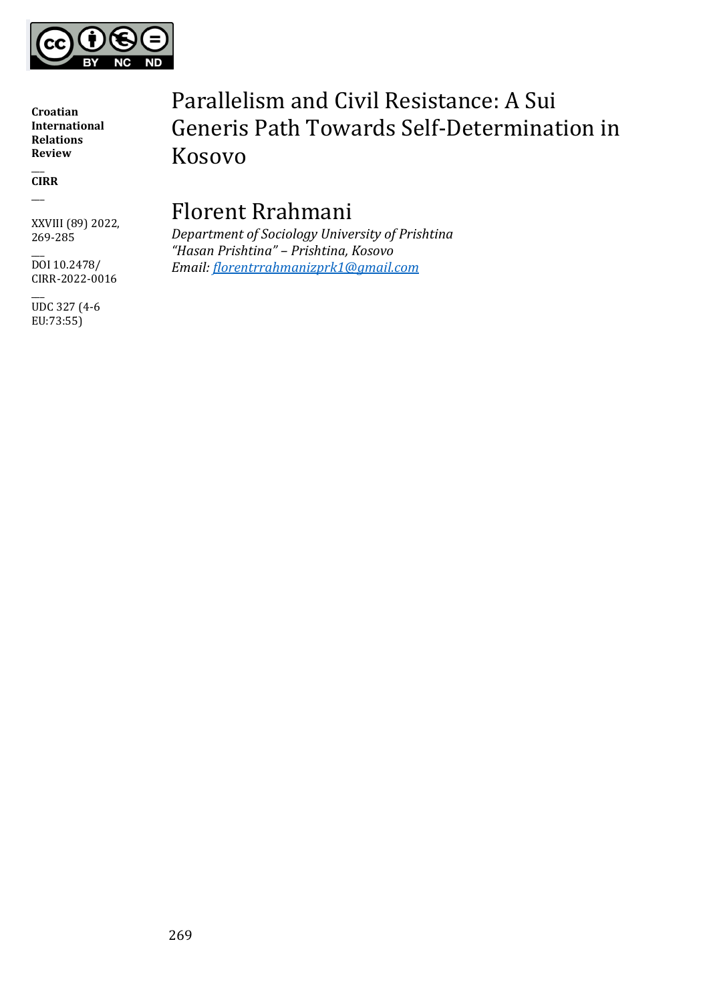

 $\overline{\phantom{a}}$ **CIRR** \_\_\_

XXVIII (89) 2022, 269-285

 $\overline{\phantom{a}}$ DOI 10.2478/ CIRR-2022-0016

 $\overline{\phantom{a}}$ UDC 327 (4-6 EU:73:55)

# Parallelism and Civil Resistance: A Sui Generis Path Towards Self-Determination in Kosovo

# Florent Rrahmani

*Department of Sociology University of Prishtina "Hasan Prishtina" – Prishtina, Kosovo Email: [florentrrahmanizprk1@gmail.com](mailto:florentrrahmanizprk1@gmail.com)*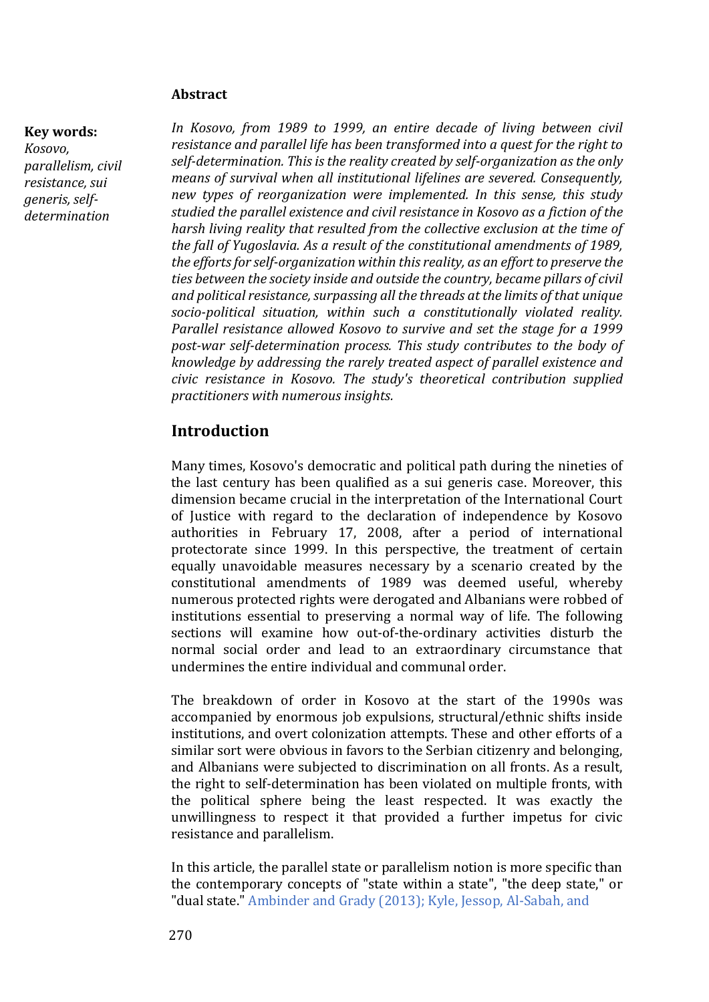#### **Abstract**

#### **Key words:**

*Kosovo, parallelism, civil resistance, sui generis, selfdetermination*

*In Kosovo, from 1989 to 1999, an entire decade of living between civil resistance and parallel life has been transformed into a quest for the right to self-determination. This is the reality created by self-organization as the only means of survival when all institutional lifelines are severed. Consequently, new types of reorganization were implemented. In this sense, this study studied the parallel existence and civil resistance in Kosovo as a fiction of the harsh living reality that resulted from the collective exclusion at the time of the fall of Yugoslavia. As a result of the constitutional amendments of 1989, the efforts for self-organization within this reality, as an effort to preserve the ties between the society inside and outside the country, became pillars of civil and political resistance, surpassing all the threads at the limits of that unique socio-political situation, within such a constitutionally violated reality. Parallel resistance allowed Kosovo to survive and set the stage for a 1999 post-war self-determination process. This study contributes to the body of knowledge by addressing the rarely treated aspect of parallel existence and civic resistance in Kosovo. The study's theoretical contribution supplied practitioners with numerous insights.*

#### **Introduction**

Many times, Kosovo's democratic and political path during the nineties of the last century has been qualified as a sui generis case. Moreover, this dimension became crucial in the interpretation of the International Court of Justice with regard to the declaration of independence by Kosovo authorities in February 17, 2008, after a period of international protectorate since 1999. In this perspective, the treatment of certain equally unavoidable measures necessary by a scenario created by the constitutional amendments of 1989 was deemed useful, whereby numerous protected rights were derogated and Albanians were robbed of institutions essential to preserving a normal way of life. The following sections will examine how out-of-the-ordinary activities disturb the normal social order and lead to an extraordinary circumstance that undermines the entire individual and communal order.

The breakdown of order in Kosovo at the start of the 1990s was accompanied by enormous job expulsions, structural/ethnic shifts inside institutions, and overt colonization attempts. These and other efforts of a similar sort were obvious in favors to the Serbian citizenry and belonging, and Albanians were subjected to discrimination on all fronts. As a result, the right to self-determination has been violated on multiple fronts, with the political sphere being the least respected. It was exactly the unwillingness to respect it that provided a further impetus for civic resistance and parallelism.

In this article, the parallel state or parallelism notion is more specific than the contemporary concepts of "state within a state", "the deep state," or "dual state." Ambinder and Grady (2013); Kyle, Jessop, Al‐Sabah, and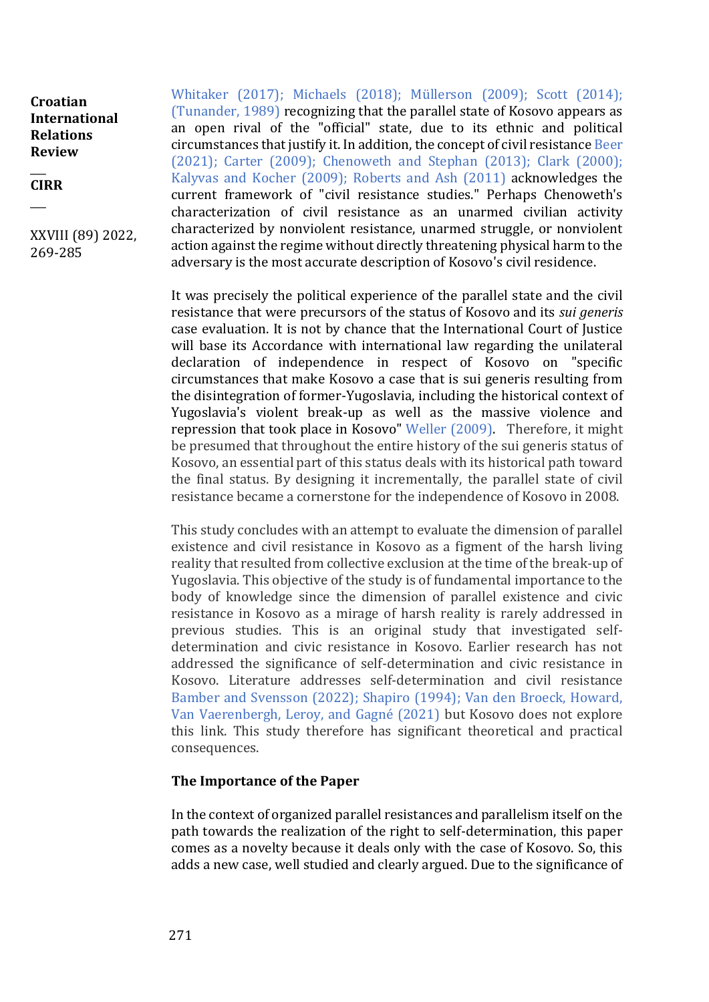$\overline{\phantom{a}}$ **CIRR**

 $\overline{\phantom{a}}$ 

XXVIII (89) 2022, 269-285

Whitaker (2017); Michaels (2018); Müllerson (2009); Scott (2014); (Tunander, 1989) recognizing that the parallel state of Kosovo appears as an open rival of the "official" state, due to its ethnic and political circumstances that justify it. In addition, the concept of civil resistance Beer (2021); Carter (2009); Chenoweth and Stephan (2013); Clark (2000); Kalyvas and Kocher (2009); Roberts and Ash (2011) acknowledges the current framework of "civil resistance studies." Perhaps Chenoweth's characterization of civil resistance as an unarmed civilian activity characterized by nonviolent resistance, unarmed struggle, or nonviolent action against the regime without directly threatening physical harm to the adversary is the most accurate description of Kosovo's civil residence.

It was precisely the political experience of the parallel state and the civil resistance that were precursors of the status of Kosovo and its *sui generis* case evaluation. It is not by chance that the International Court of Justice will base its Accordance with international law regarding the unilateral declaration of independence in respect of Kosovo on "specific circumstances that make Kosovo a case that is sui generis resulting from the disintegration of former-Yugoslavia, including the historical context of Yugoslavia's violent break-up as well as the massive violence and repression that took place in Kosovo" Weller (2009). Therefore, it might be presumed that throughout the entire history of the sui generis status of Kosovo, an essential part of this status deals with its historical path toward the final status. By designing it incrementally, the parallel state of civil resistance became a cornerstone for the independence of Kosovo in 2008.

This study concludes with an attempt to evaluate the dimension of parallel existence and civil resistance in Kosovo as a figment of the harsh living reality that resulted from collective exclusion at the time of the break-up of Yugoslavia. This objective of the study is of fundamental importance to the body of knowledge since the dimension of parallel existence and civic resistance in Kosovo as a mirage of harsh reality is rarely addressed in previous studies. This is an original study that investigated selfdetermination and civic resistance in Kosovo. Earlier research has not addressed the significance of self-determination and civic resistance in Kosovo. Literature addresses self-determination and civil resistance Bamber and Svensson (2022); Shapiro (1994); Van den Broeck, Howard, Van Vaerenbergh, Leroy, and Gagné (2021) but Kosovo does not explore this link. This study therefore has significant theoretical and practical consequences.

#### **The Importance of the Paper**

In the context of organized parallel resistances and parallelism itself on the path towards the realization of the right to self-determination, this paper comes as a novelty because it deals only with the case of Kosovo. So, this adds a new case, well studied and clearly argued. Due to the significance of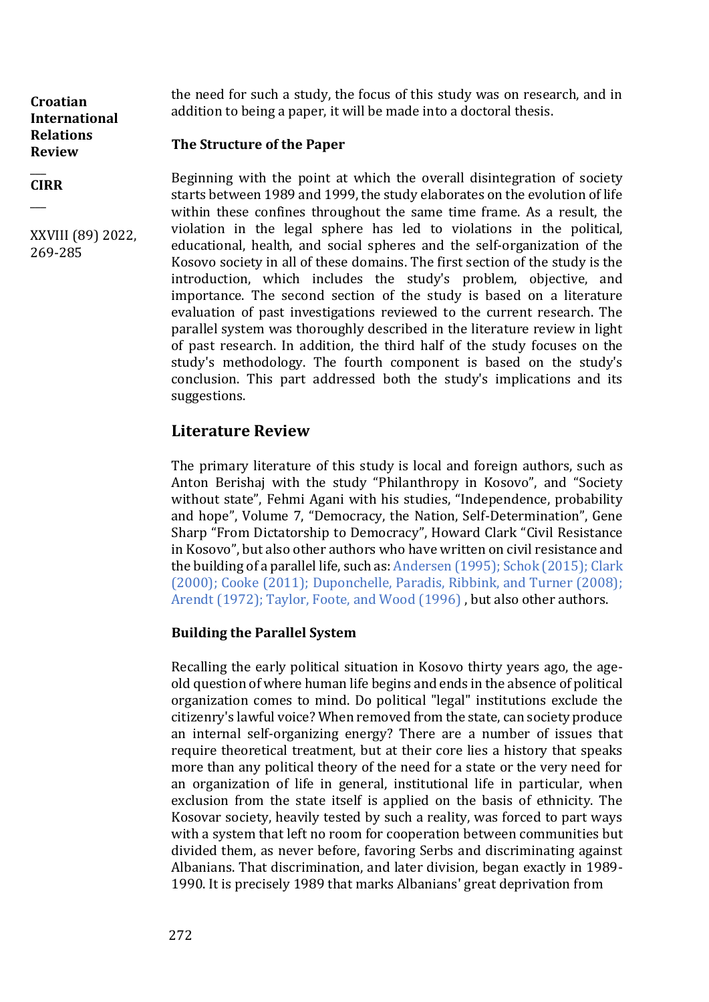the need for such a study, the focus of this study was on research, and in addition to being a paper, it will be made into a doctoral thesis.

# **The Structure of the Paper**

 $\overline{\phantom{a}}$ **CIRR**

 $\overline{\phantom{a}}$ 

**Croatian International Relations Review** 

XXVIII (89) 2022, 269-285

Beginning with the point at which the overall disintegration of society starts between 1989 and 1999, the study elaborates on the evolution of life within these confines throughout the same time frame. As a result, the violation in the legal sphere has led to violations in the political, educational, health, and social spheres and the self-organization of the Kosovo society in all of these domains. The first section of the study is the introduction, which includes the study's problem, objective, and importance. The second section of the study is based on a literature evaluation of past investigations reviewed to the current research. The parallel system was thoroughly described in the literature review in light of past research. In addition, the third half of the study focuses on the study's methodology. The fourth component is based on the study's conclusion. This part addressed both the study's implications and its suggestions.

# **Literature Review**

The primary literature of this study is local and foreign authors, such as Anton Berishaj with the study "Philanthropy in Kosovo", and "Society without state", Fehmi Agani with his studies, "Independence, probability and hope", Volume 7, "Democracy, the Nation, Self-Determination", Gene Sharp "From Dictatorship to Democracy", Howard Clark "Civil Resistance in Kosovo", but also other authors who have written on civil resistance and the building of a parallel life, such as: Andersen (1995); Schok (2015); Clark (2000); Cooke (2011); Duponchelle, Paradis, Ribbink, and Turner (2008); Arendt (1972); Taylor, Foote, and Wood (1996) , but also other authors.

#### **Building the Parallel System**

Recalling the early political situation in Kosovo thirty years ago, the ageold question of where human life begins and ends in the absence of political organization comes to mind. Do political "legal" institutions exclude the citizenry's lawful voice? When removed from the state, can society produce an internal self-organizing energy? There are a number of issues that require theoretical treatment, but at their core lies a history that speaks more than any political theory of the need for a state or the very need for an organization of life in general, institutional life in particular, when exclusion from the state itself is applied on the basis of ethnicity. The Kosovar society, heavily tested by such a reality, was forced to part ways with a system that left no room for cooperation between communities but divided them, as never before, favoring Serbs and discriminating against Albanians. That discrimination, and later division, began exactly in 1989- 1990. It is precisely 1989 that marks Albanians' great deprivation from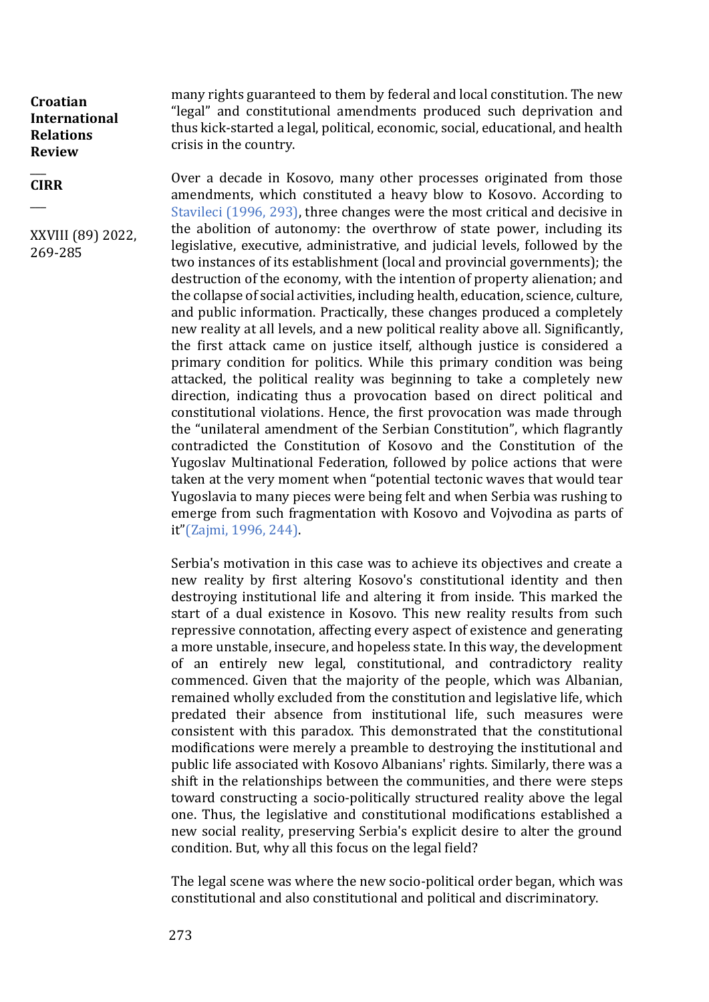$\overline{\phantom{a}}$ **CIRR**

 $\overline{\phantom{a}}$ 

XXVIII (89) 2022, 269-285

many rights guaranteed to them by federal and local constitution. The new "legal" and constitutional amendments produced such deprivation and thus kick-started a legal, political, economic, social, educational, and health crisis in the country.

Over a decade in Kosovo, many other processes originated from those amendments, which constituted a heavy blow to Kosovo. According to Stavileci (1996, 293), three changes were the most critical and decisive in the abolition of autonomy: the overthrow of state power, including its legislative, executive, administrative, and judicial levels, followed by the two instances of its establishment (local and provincial governments); the destruction of the economy, with the intention of property alienation; and the collapse of social activities, including health, education, science, culture, and public information. Practically, these changes produced a completely new reality at all levels, and a new political reality above all. Significantly, the first attack came on justice itself, although justice is considered a primary condition for politics. While this primary condition was being attacked, the political reality was beginning to take a completely new direction, indicating thus a provocation based on direct political and constitutional violations. Hence, the first provocation was made through the "unilateral amendment of the Serbian Constitution", which flagrantly contradicted the Constitution of Kosovo and the Constitution of the Yugoslav Multinational Federation, followed by police actions that were taken at the very moment when "potential tectonic waves that would tear Yugoslavia to many pieces were being felt and when Serbia was rushing to emerge from such fragmentation with Kosovo and Vojvodina as parts of it"(Zajmi, 1996, 244).

Serbia's motivation in this case was to achieve its objectives and create a new reality by first altering Kosovo's constitutional identity and then destroying institutional life and altering it from inside. This marked the start of a dual existence in Kosovo. This new reality results from such repressive connotation, affecting every aspect of existence and generating a more unstable, insecure, and hopeless state. In this way, the development of an entirely new legal, constitutional, and contradictory reality commenced. Given that the majority of the people, which was Albanian, remained wholly excluded from the constitution and legislative life, which predated their absence from institutional life, such measures were consistent with this paradox. This demonstrated that the constitutional modifications were merely a preamble to destroying the institutional and public life associated with Kosovo Albanians' rights. Similarly, there was a shift in the relationships between the communities, and there were steps toward constructing a socio-politically structured reality above the legal one. Thus, the legislative and constitutional modifications established a new social reality, preserving Serbia's explicit desire to alter the ground condition. But, why all this focus on the legal field?

The legal scene was where the new socio-political order began, which was constitutional and also constitutional and political and discriminatory.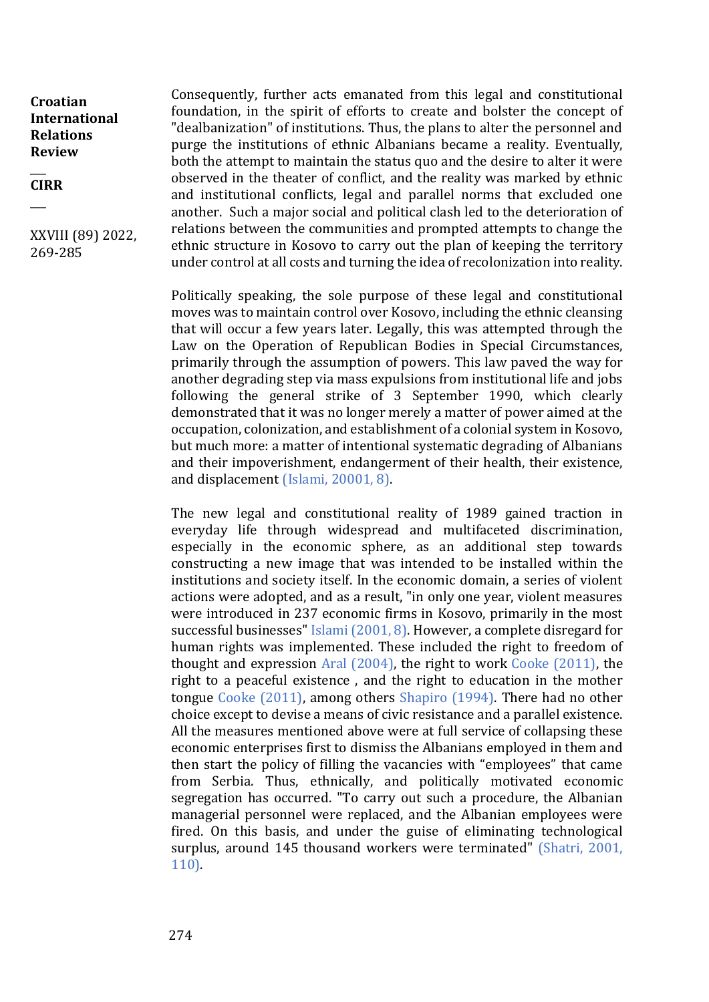$\overline{\phantom{a}}$ **CIRR**

 $\overline{\phantom{a}}$ 

XXVIII (89) 2022, 269-285

Consequently, further acts emanated from this legal and constitutional foundation, in the spirit of efforts to create and bolster the concept of "dealbanization" of institutions. Thus, the plans to alter the personnel and purge the institutions of ethnic Albanians became a reality. Eventually, both the attempt to maintain the status quo and the desire to alter it were observed in the theater of conflict, and the reality was marked by ethnic and institutional conflicts, legal and parallel norms that excluded one another. Such a major social and political clash led to the deterioration of relations between the communities and prompted attempts to change the ethnic structure in Kosovo to carry out the plan of keeping the territory under control at all costs and turning the idea of recolonization into reality.

Politically speaking, the sole purpose of these legal and constitutional moves was to maintain control over Kosovo, including the ethnic cleansing that will occur a few years later. Legally, this was attempted through the Law on the Operation of Republican Bodies in Special Circumstances, primarily through the assumption of powers. This law paved the way for another degrading step via mass expulsions from institutional life and jobs following the general strike of 3 September 1990, which clearly demonstrated that it was no longer merely a matter of power aimed at the occupation, colonization, and establishment of a colonial system in Kosovo, but much more: a matter of intentional systematic degrading of Albanians and their impoverishment, endangerment of their health, their existence, and displacement (Islami, 20001, 8).

The new legal and constitutional reality of 1989 gained traction in everyday life through widespread and multifaceted discrimination, especially in the economic sphere, as an additional step towards constructing a new image that was intended to be installed within the institutions and society itself. In the economic domain, a series of violent actions were adopted, and as a result, "in only one year, violent measures were introduced in 237 economic firms in Kosovo, primarily in the most successful businesses" Islami (2001, 8). However, a complete disregard for human rights was implemented. These included the right to freedom of thought and expression Aral (2004), the right to work Cooke (2011), the right to a peaceful existence , and the right to education in the mother tongue Cooke (2011), among others Shapiro (1994). There had no other choice except to devise a means of civic resistance and a parallel existence. All the measures mentioned above were at full service of collapsing these economic enterprises first to dismiss the Albanians employed in them and then start the policy of filling the vacancies with "employees" that came from Serbia. Thus, ethnically, and politically motivated economic segregation has occurred. "To carry out such a procedure, the Albanian managerial personnel were replaced, and the Albanian employees were fired. On this basis, and under the guise of eliminating technological surplus, around 145 thousand workers were terminated" (Shatri, 2001, 110).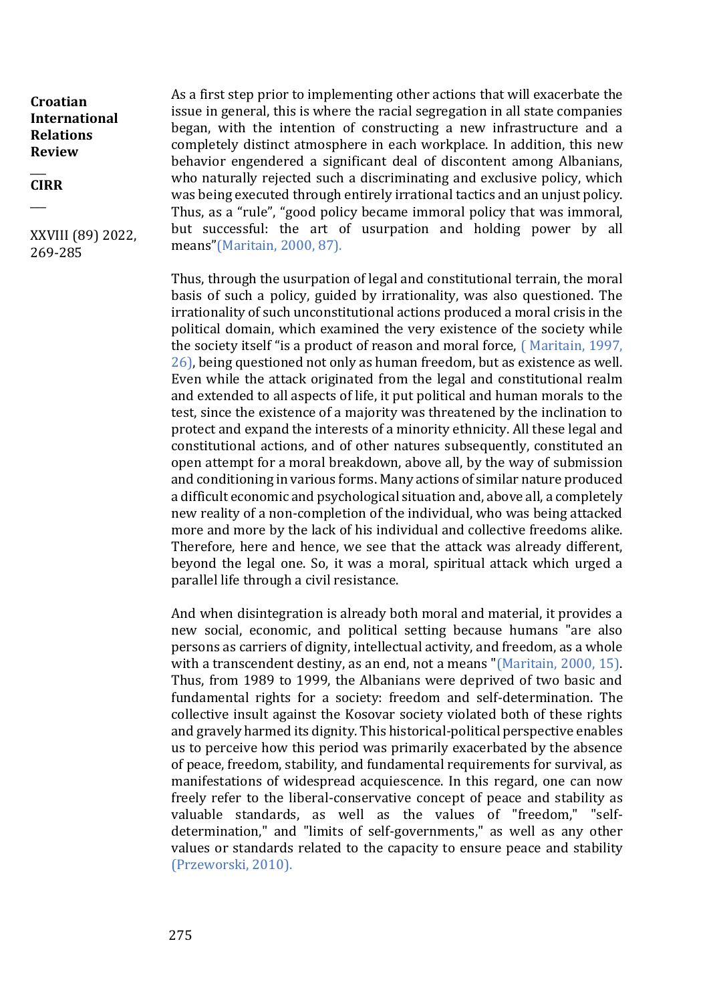$\overline{\phantom{a}}$ **CIRR**

 $\overline{\phantom{a}}$ 

XXVIII (89) 2022, 269-285

As a first step prior to implementing other actions that will exacerbate the issue in general, this is where the racial segregation in all state companies began, with the intention of constructing a new infrastructure and a completely distinct atmosphere in each workplace. In addition, this new behavior engendered a significant deal of discontent among Albanians, who naturally rejected such a discriminating and exclusive policy, which was being executed through entirely irrational tactics and an unjust policy. Thus, as a "rule", "good policy became immoral policy that was immoral, but successful: the art of usurpation and holding power by all means"(Maritain, 2000, 87).

Thus, through the usurpation of legal and constitutional terrain, the moral basis of such a policy, guided by irrationality, was also questioned. The irrationality of such unconstitutional actions produced a moral crisis in the political domain, which examined the very existence of the society while the society itself "is a product of reason and moral force, ( Maritain, 1997, 26), being questioned not only as human freedom, but as existence as well. Even while the attack originated from the legal and constitutional realm and extended to all aspects of life, it put political and human morals to the test, since the existence of a majority was threatened by the inclination to protect and expand the interests of a minority ethnicity. All these legal and constitutional actions, and of other natures subsequently, constituted an open attempt for a moral breakdown, above all, by the way of submission and conditioning in various forms. Many actions of similar nature produced a difficult economic and psychological situation and, above all, a completely new reality of a non-completion of the individual, who was being attacked more and more by the lack of his individual and collective freedoms alike. Therefore, here and hence, we see that the attack was already different, beyond the legal one. So, it was a moral, spiritual attack which urged a parallel life through a civil resistance.

And when disintegration is already both moral and material, it provides a new social, economic, and political setting because humans "are also persons as carriers of dignity, intellectual activity, and freedom, as a whole with a transcendent destiny, as an end, not a means "(Maritain, 2000, 15). Thus, from 1989 to 1999, the Albanians were deprived of two basic and fundamental rights for a society: freedom and self-determination. The collective insult against the Kosovar society violated both of these rights and gravely harmed its dignity. This historical-political perspective enables us to perceive how this period was primarily exacerbated by the absence of peace, freedom, stability, and fundamental requirements for survival, as manifestations of widespread acquiescence. In this regard, one can now freely refer to the liberal-conservative concept of peace and stability as valuable standards, as well as the values of "freedom," "selfdetermination," and "limits of self-governments," as well as any other values or standards related to the capacity to ensure peace and stability (Przeworski, 2010).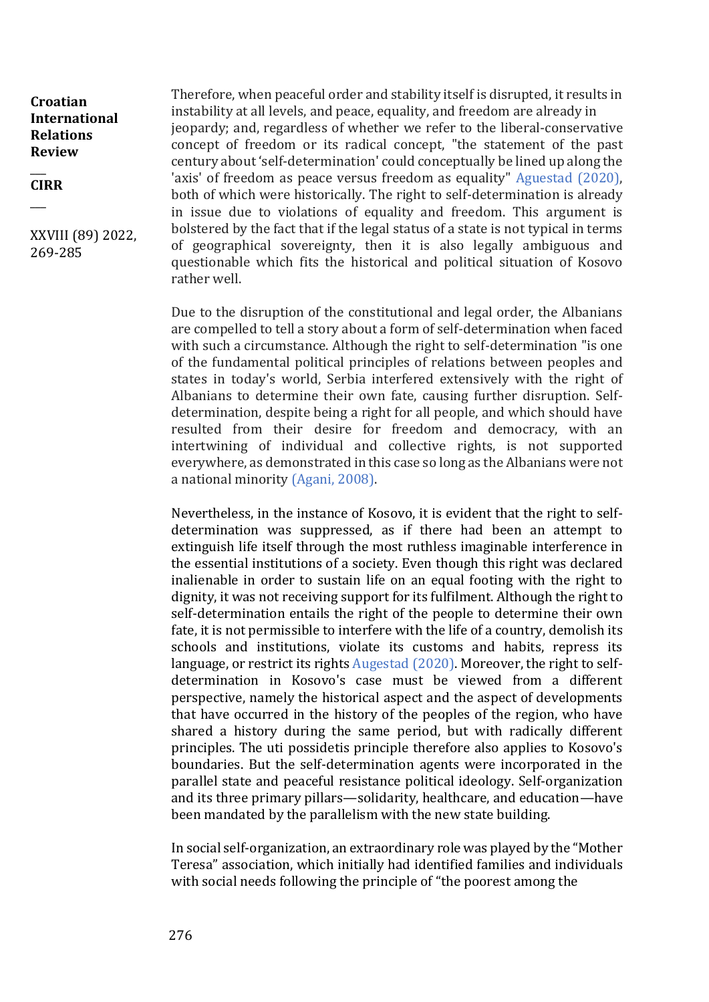$\overline{\phantom{a}}$ **CIRR**

 $\overline{\phantom{a}}$ 

XXVIII (89) 2022, 269-285

Therefore, when peaceful order and stability itself is disrupted, it results in instability at all levels, and peace, equality, and freedom are already in jeopardy; and, regardless of whether we refer to the liberal-conservative concept of freedom or its radical concept, "the statement of the past century about 'self-determination' could conceptually be lined up along the 'axis' of freedom as peace versus freedom as equality" Aguestad (2020), both of which were historically. The right to self-determination is already in issue due to violations of equality and freedom. This argument is bolstered by the fact that if the legal status of a state is not typical in terms of geographical sovereignty, then it is also legally ambiguous and questionable which fits the historical and political situation of Kosovo rather well.

Due to the disruption of the constitutional and legal order, the Albanians are compelled to tell a story about a form of self-determination when faced with such a circumstance. Although the right to self-determination "is one of the fundamental political principles of relations between peoples and states in today's world, Serbia interfered extensively with the right of Albanians to determine their own fate, causing further disruption. Selfdetermination, despite being a right for all people, and which should have resulted from their desire for freedom and democracy, with an intertwining of individual and collective rights, is not supported everywhere, as demonstrated in this case so long as the Albanians were not a national minority (Agani, 2008).

Nevertheless, in the instance of Kosovo, it is evident that the right to selfdetermination was suppressed, as if there had been an attempt to extinguish life itself through the most ruthless imaginable interference in the essential institutions of a society. Even though this right was declared inalienable in order to sustain life on an equal footing with the right to dignity, it was not receiving support for its fulfilment. Although the right to self-determination entails the right of the people to determine their own fate, it is not permissible to interfere with the life of a country, demolish its schools and institutions, violate its customs and habits, repress its language, or restrict its rights Augestad (2020). Moreover, the right to selfdetermination in Kosovo's case must be viewed from a different perspective, namely the historical aspect and the aspect of developments that have occurred in the history of the peoples of the region, who have shared a history during the same period, but with radically different principles. The uti possidetis principle therefore also applies to Kosovo's boundaries. But the self-determination agents were incorporated in the parallel state and peaceful resistance political ideology. Self-organization and its three primary pillars—solidarity, healthcare, and education—have been mandated by the parallelism with the new state building.

In social self-organization, an extraordinary role was played by the "Mother Teresa" association, which initially had identified families and individuals with social needs following the principle of "the poorest among the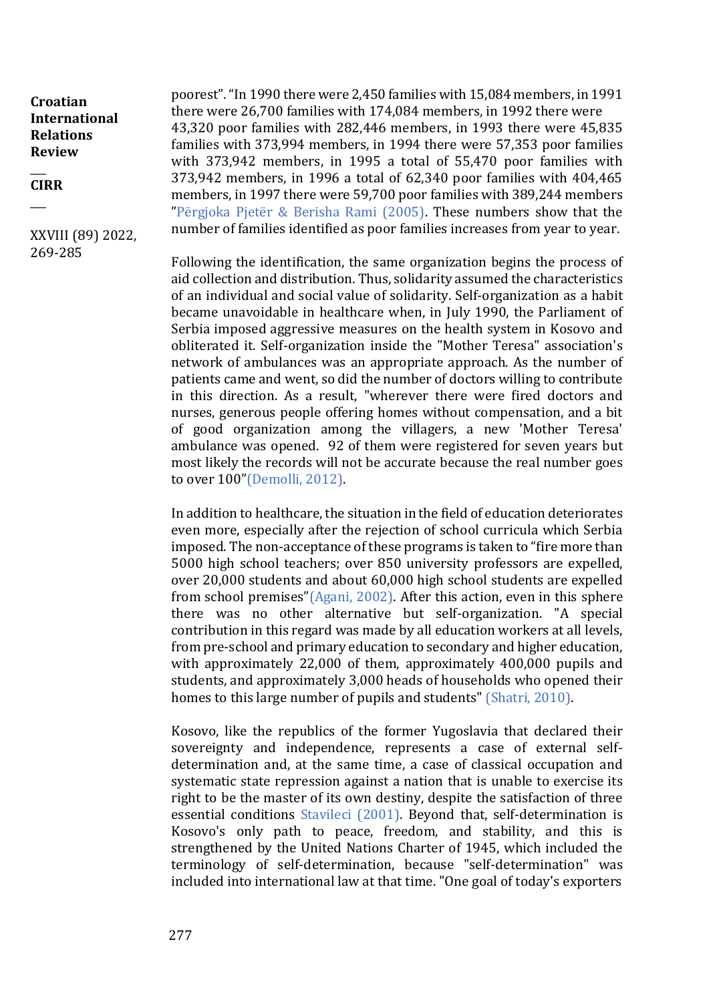$\overline{\phantom{a}}$ **CIRR**

 $\overline{\phantom{a}}$ 

XXVIII (89) 2022, 269-285

poorest". "In 1990 there were 2,450 families with 15,084 members, in 1991 there were 26,700 families with 174,084 members, in 1992 there were 43,320 poor families with 282,446 members, in 1993 there were 45,835 families with 373,994 members, in 1994 there were 57,353 poor families with 373,942 members, in 1995 a total of 55,470 poor families with 373,942 members, in 1996 a total of 62,340 poor families with 404,465 members, in 1997 there were 59,700 poor families with 389,244 members "Përgjoka Pjetër & Berisha Rami (2005). These numbers show that the number of families identified as poor families increases from year to year.

Following the identification, the same organization begins the process of aid collection and distribution. Thus, solidarity assumed the characteristics of an individual and social value of solidarity. Self-organization as a habit became unavoidable in healthcare when, in July 1990, the Parliament of Serbia imposed aggressive measures on the health system in Kosovo and obliterated it. Self-organization inside the "Mother Teresa" association's network of ambulances was an appropriate approach. As the number of patients came and went, so did the number of doctors willing to contribute in this direction. As a result, "wherever there were fired doctors and nurses, generous people offering homes without compensation, and a bit of good organization among the villagers, a new 'Mother Teresa' ambulance was opened. 92 of them were registered for seven years but most likely the records will not be accurate because the real number goes to over 100"(Demolli, 2012).

In addition to healthcare, the situation in the field of education deteriorates even more, especially after the rejection of school curricula which Serbia imposed. The non-acceptance of these programs is taken to "fire more than 5000 high school teachers; over 850 university professors are expelled, over 20,000 students and about 60,000 high school students are expelled from school premises"(Agani, 2002). After this action, even in this sphere there was no other alternative but self-organization. "A special contribution in this regard was made by all education workers at all levels, from pre-school and primary education to secondary and higher education, with approximately 22,000 of them, approximately 400,000 pupils and students, and approximately 3,000 heads of households who opened their homes to this large number of pupils and students" (Shatri, 2010).

Kosovo, like the republics of the former Yugoslavia that declared their sovereignty and independence, represents a case of external selfdetermination and, at the same time, a case of classical occupation and systematic state repression against a nation that is unable to exercise its right to be the master of its own destiny, despite the satisfaction of three essential conditions Stavileci (2001). Beyond that, self-determination is Kosovo's only path to peace, freedom, and stability, and this is strengthened by the United Nations Charter of 1945, which included the terminology of self-determination, because "self-determination" was included into international law at that time. "One goal of today's exporters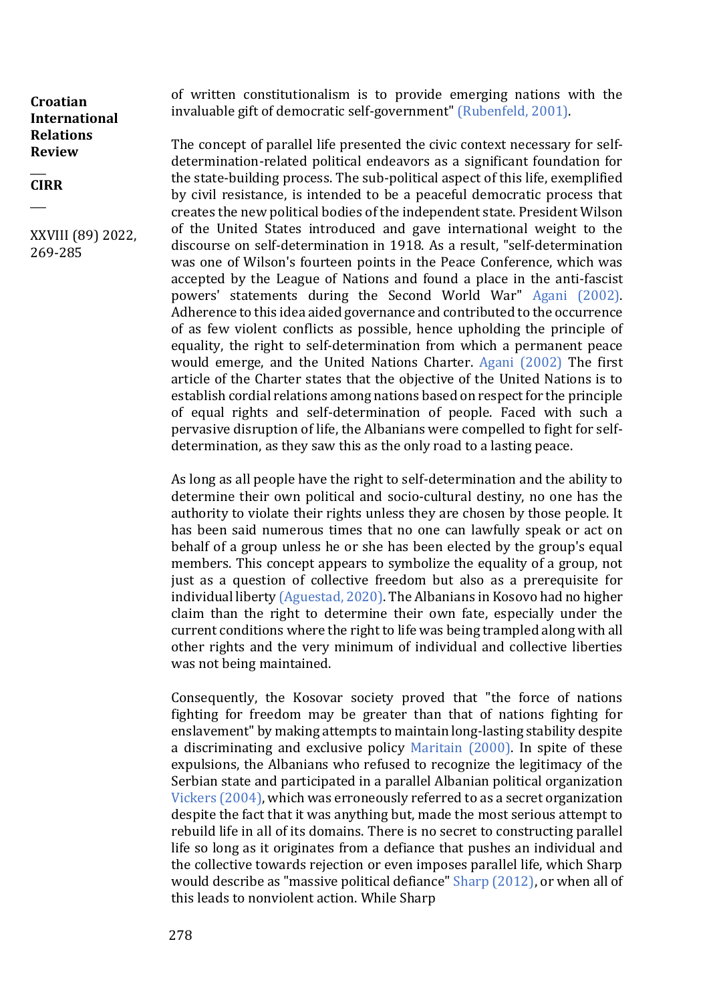$\overline{\phantom{a}}$ **CIRR**

 $\overline{\phantom{a}}$ 

XXVIII (89) 2022, 269-285

of written constitutionalism is to provide emerging nations with the invaluable gift of democratic self-government" (Rubenfeld, 2001).

The concept of parallel life presented the civic context necessary for selfdetermination-related political endeavors as a significant foundation for the state-building process. The sub-political aspect of this life, exemplified by civil resistance, is intended to be a peaceful democratic process that creates the new political bodies of the independent state. President Wilson of the United States introduced and gave international weight to the discourse on self-determination in 1918. As a result, "self-determination was one of Wilson's fourteen points in the Peace Conference, which was accepted by the League of Nations and found a place in the anti-fascist powers' statements during the Second World War" Agani (2002). Adherence to this idea aided governance and contributed to the occurrence of as few violent conflicts as possible, hence upholding the principle of equality, the right to self-determination from which a permanent peace would emerge, and the United Nations Charter. Agani (2002) The first article of the Charter states that the objective of the United Nations is to establish cordial relations among nations based on respect for the principle of equal rights and self-determination of people. Faced with such a pervasive disruption of life, the Albanians were compelled to fight for selfdetermination, as they saw this as the only road to a lasting peace.

As long as all people have the right to self-determination and the ability to determine their own political and socio-cultural destiny, no one has the authority to violate their rights unless they are chosen by those people. It has been said numerous times that no one can lawfully speak or act on behalf of a group unless he or she has been elected by the group's equal members. This concept appears to symbolize the equality of a group, not just as a question of collective freedom but also as a prerequisite for individual liberty (Aguestad, 2020). The Albanians in Kosovo had no higher claim than the right to determine their own fate, especially under the current conditions where the right to life was being trampled along with all other rights and the very minimum of individual and collective liberties was not being maintained.

Consequently, the Kosovar society proved that "the force of nations fighting for freedom may be greater than that of nations fighting for enslavement" by making attempts to maintain long-lasting stability despite a discriminating and exclusive policy Maritain (2000). In spite of these expulsions, the Albanians who refused to recognize the legitimacy of the Serbian state and participated in a parallel Albanian political organization Vickers (2004), which was erroneously referred to as a secret organization despite the fact that it was anything but, made the most serious attempt to rebuild life in all of its domains. There is no secret to constructing parallel life so long as it originates from a defiance that pushes an individual and the collective towards rejection or even imposes parallel life, which Sharp would describe as "massive political defiance" Sharp (2012), or when all of this leads to nonviolent action. While Sharp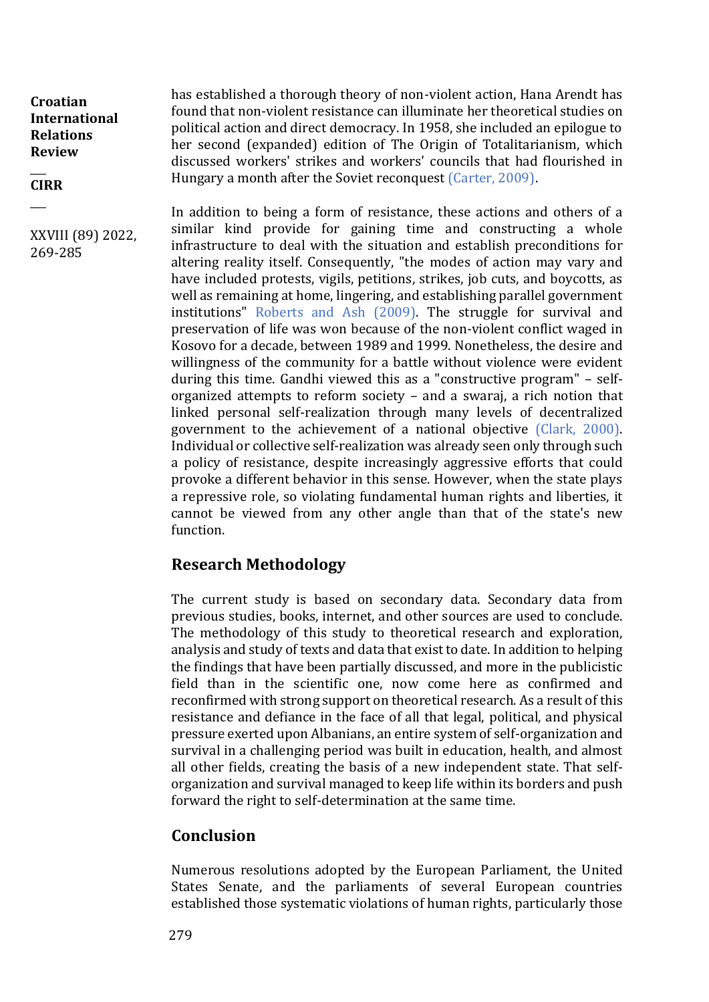$\overline{\phantom{a}}$ **CIRR**

 $\overline{\phantom{a}}$ 

XXVIII (89) 2022, 269-285

has established a thorough theory of non-violent action, Hana Arendt has found that non-violent resistance can illuminate her theoretical studies on political action and direct democracy. In 1958, she included an epilogue to her second (expanded) edition of The Origin of Totalitarianism, which discussed workers' strikes and workers' councils that had flourished in Hungary a month after the Soviet reconquest (Carter, 2009).

In addition to being a form of resistance, these actions and others of a similar kind provide for gaining time and constructing a whole infrastructure to deal with the situation and establish preconditions for altering reality itself. Consequently, "the modes of action may vary and have included protests, vigils, petitions, strikes, job cuts, and boycotts, as well as remaining at home, lingering, and establishing parallel government institutions" Roberts and Ash (2009). The struggle for survival and preservation of life was won because of the non-violent conflict waged in Kosovo for a decade, between 1989 and 1999. Nonetheless, the desire and willingness of the community for a battle without violence were evident during this time. Gandhi viewed this as a "constructive program" – selforganized attempts to reform society – and a swaraj, a rich notion that linked personal self-realization through many levels of decentralized government to the achievement of a national objective (Clark, 2000). Individual or collective self-realization was already seen only through such a policy of resistance, despite increasingly aggressive efforts that could provoke a different behavior in this sense. However, when the state plays a repressive role, so violating fundamental human rights and liberties, it cannot be viewed from any other angle than that of the state's new function.

## **Research Methodology**

The current study is based on secondary data. Secondary data from previous studies, books, internet, and other sources are used to conclude. The methodology of this study to theoretical research and exploration, analysis and study of texts and data that exist to date. In addition to helping the findings that have been partially discussed, and more in the publicistic field than in the scientific one, now come here as confirmed and reconfirmed with strong support on theoretical research. As a result of this resistance and defiance in the face of all that legal, political, and physical pressure exerted upon Albanians, an entire system of self-organization and survival in a challenging period was built in education, health, and almost all other fields, creating the basis of a new independent state. That selforganization and survival managed to keep life within its borders and push forward the right to self-determination at the same time.

## **Conclusion**

Numerous resolutions adopted by the European Parliament, the United States Senate, and the parliaments of several European countries established those systematic violations of human rights, particularly those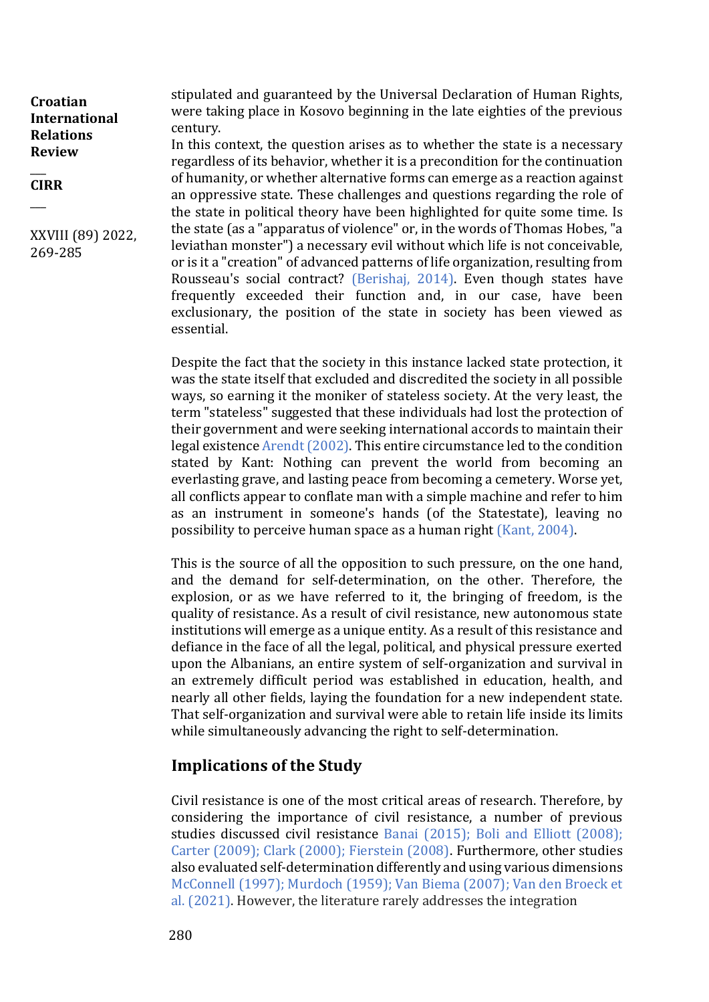$\overline{\phantom{a}}$ **CIRR**

 $\overline{\phantom{a}}$ 

XXVIII (89) 2022, 269-285

stipulated and guaranteed by the Universal Declaration of Human Rights, were taking place in Kosovo beginning in the late eighties of the previous century.

In this context, the question arises as to whether the state is a necessary regardless of its behavior, whether it is a precondition for the continuation of humanity, or whether alternative forms can emerge as a reaction against an oppressive state. These challenges and questions regarding the role of the state in political theory have been highlighted for quite some time. Is the state (as a "apparatus of violence" or, in the words of Thomas Hobes, "a leviathan monster") a necessary evil without which life is not conceivable, or is it a "creation" of advanced patterns of life organization, resulting from Rousseau's social contract? (Berishaj, 2014). Even though states have frequently exceeded their function and, in our case, have been exclusionary, the position of the state in society has been viewed as essential.

Despite the fact that the society in this instance lacked state protection, it was the state itself that excluded and discredited the society in all possible ways, so earning it the moniker of stateless society. At the very least, the term "stateless" suggested that these individuals had lost the protection of their government and were seeking international accords to maintain their legal existence Arendt (2002). This entire circumstance led to the condition stated by Kant: Nothing can prevent the world from becoming an everlasting grave, and lasting peace from becoming a cemetery. Worse yet, all conflicts appear to conflate man with a simple machine and refer to him as an instrument in someone's hands (of the Statestate), leaving no possibility to perceive human space as a human right (Kant, 2004).

This is the source of all the opposition to such pressure, on the one hand, and the demand for self-determination, on the other. Therefore, the explosion, or as we have referred to it, the bringing of freedom, is the quality of resistance. As a result of civil resistance, new autonomous state institutions will emerge as a unique entity. As a result of this resistance and defiance in the face of all the legal, political, and physical pressure exerted upon the Albanians, an entire system of self-organization and survival in an extremely difficult period was established in education, health, and nearly all other fields, laying the foundation for a new independent state. That self-organization and survival were able to retain life inside its limits while simultaneously advancing the right to self-determination.

# **Implications of the Study**

Civil resistance is one of the most critical areas of research. Therefore, by considering the importance of civil resistance, a number of previous studies discussed civil resistance Banai (2015); Boli and Elliott (2008); Carter (2009); Clark (2000); Fierstein (2008). Furthermore, other studies also evaluated self-determination differently and using various dimensions McConnell (1997); Murdoch (1959); Van Biema (2007); Van den Broeck et al. (2021). However, the literature rarely addresses the integration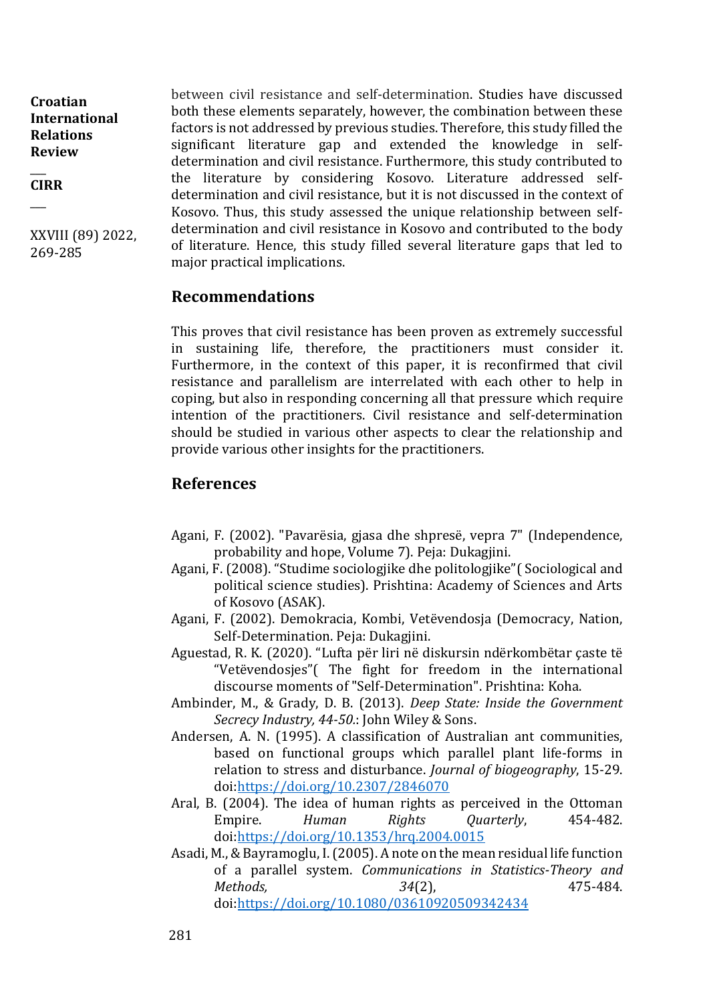$\overline{\phantom{a}}$ **CIRR**

 $\overline{\phantom{a}}$ 

XXVIII (89) 2022, 269-285

between civil resistance and self-determination. Studies have discussed both these elements separately, however, the combination between these factors is not addressed by previous studies. Therefore, this study filled the significant literature gap and extended the knowledge in selfdetermination and civil resistance. Furthermore, this study contributed to the literature by considering Kosovo. Literature addressed selfdetermination and civil resistance, but it is not discussed in the context of Kosovo. Thus, this study assessed the unique relationship between selfdetermination and civil resistance in Kosovo and contributed to the body of literature. Hence, this study filled several literature gaps that led to major practical implications.

#### **Recommendations**

This proves that civil resistance has been proven as extremely successful in sustaining life, therefore, the practitioners must consider it. Furthermore, in the context of this paper, it is reconfirmed that civil resistance and parallelism are interrelated with each other to help in coping, but also in responding concerning all that pressure which require intention of the practitioners. Civil resistance and self-determination should be studied in various other aspects to clear the relationship and provide various other insights for the practitioners.

### **References**

- Agani, F. (2002). "Pavarësia, gjasa dhe shpresë, vepra 7" (Independence, probability and hope, Volume 7). Peja: Dukagjini.
- Agani, F. (2008). "Studime sociologjike dhe politologjike"( Sociological and political science studies). Prishtina: Academy of Sciences and Arts of Kosovo (ASAK).
- Agani, F. (2002). Demokracia, Kombi, Vetëvendosja (Democracy, Nation, Self-Determination. Peja: Dukagjini.
- Aguestad, R. K. (2020). "Lufta për liri në diskursin ndërkombëtar çaste të "Vetëvendosjes"( The fight for freedom in the international discourse moments of "Self-Determination". Prishtina: Koha.
- Ambinder, M., & Grady, D. B. (2013). *Deep State: Inside the Government Secrecy Industry, 44-50.*: John Wiley & Sons.
- Andersen, A. N. (1995). A classification of Australian ant communities, based on functional groups which parallel plant life-forms in relation to stress and disturbance. *Journal of biogeography*, 15-29. doi[:https://doi.org/10.2307/2846070](https://doi.org/10.2307/2846070)
- Aral, B. (2004). The idea of human rights as perceived in the Ottoman Empire. *Human Rights Quarterly*, 454-482. doi[:https://doi.org/10.1353/hrq.2004.0015](https://doi.org/10.1353/hrq.2004.0015)
- Asadi, M., & Bayramoglu, I. (2005). A note on the mean residual life function of a parallel system. *Communications in Statistics-Theory and Methods,* 34(2), 475-484. doi[:https://doi.org/10.1080/03610920509342434](https://doi.org/10.1080/03610920509342434)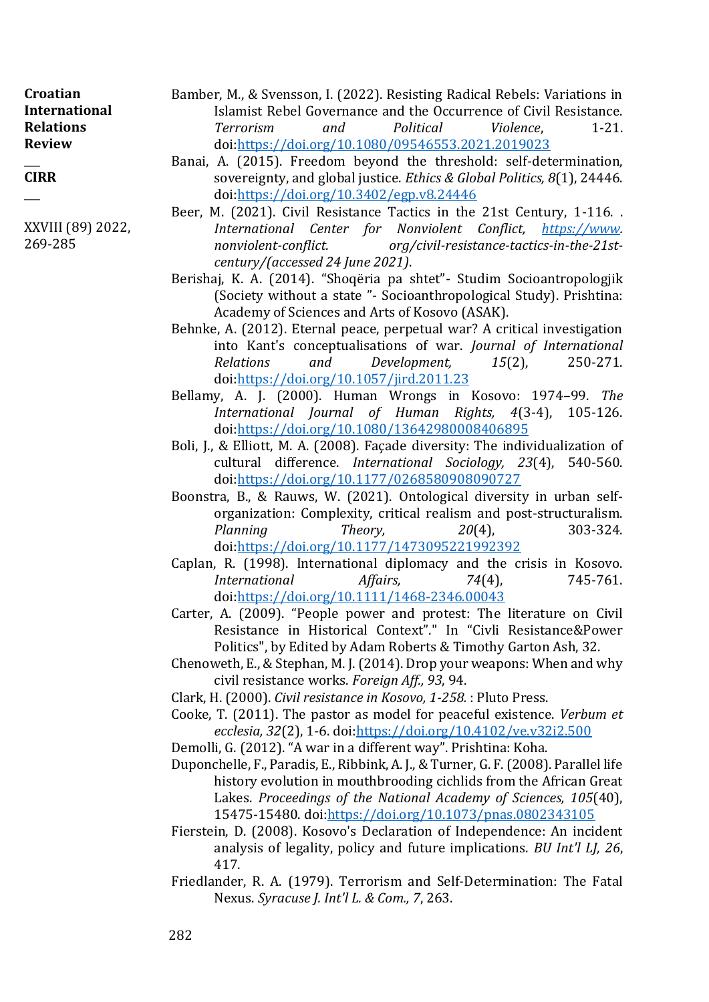| Croatian         |
|------------------|
| International    |
| <b>Relations</b> |
| <b>Review</b>    |

 $\overline{\phantom{a}}$ **CIRR**

 $\overline{\phantom{a}}$ 

XXVIII (89) 2022, 269-285

- Bamber, M., & Svensson, I. (2022). Resisting Radical Rebels: Variations in Islamist Rebel Governance and the Occurrence of Civil Resistance. *Terrorism and Political Violence*, 1-21. doi[:https://doi.org/10.1080/09546553.2021.2019023](https://doi.org/10.1080/09546553.2021.2019023)
- Banai, A. (2015). Freedom beyond the threshold: self-determination, sovereignty, and global justice. *Ethics & Global Politics, 8*(1), 24446. doi[:https://doi.org/10.3402/egp.v8.24446](https://doi.org/10.3402/egp.v8.24446)
- Beer, M. (2021). Civil Resistance Tactics in the 21st Century, 1-116. . *International Center for Nonviolent Conflict, [https://www.](https://www/) nonviolent-conflict. org/civil-resistance-tactics-in-the-21stcentury/(accessed 24 June 2021)*.
- Berishaj, K. A. (2014). "Shoqëria pa shtet"- Studim Socioantropologjik (Society without a state "- Socioanthropological Study). Prishtina: Academy of Sciences and Arts of Kosovo (ASAK).
- Behnke, A. (2012). Eternal peace, perpetual war? A critical investigation into Kant's conceptualisations of war. *Journal of International Relations and Development, 15*(2), 250-271. doi[:https://doi.org/10.1057/jird.2011.23](https://doi.org/10.1057/jird.2011.23)
- Bellamy, A. J. (2000). Human Wrongs in Kosovo: 1974–99. *The International Journal of Human Rights, 4*(3-4), 105-126. doi[:https://doi.org/10.1080/13642980008406895](https://doi.org/10.1080/13642980008406895)
- Boli, J., & Elliott, M. A. (2008). Façade diversity: The individualization of cultural difference. *International Sociology, 23*(4), 540-560. doi[:https://doi.org/10.1177/0268580908090727](https://doi.org/10.1177/0268580908090727)
- Boonstra, B., & Rauws, W. (2021). Ontological diversity in urban selforganization: Complexity, critical realism and post-structuralism. *Planning Theory, 20*(4), 303-324. doi[:https://doi.org/10.1177/1473095221992392](https://doi.org/10.1177/1473095221992392)
- Caplan, R. (1998). International diplomacy and the crisis in Kosovo. *International Affairs, 74*(4), 745-761. doi[:https://doi.org/10.1111/1468-2346.00043](https://doi.org/10.1111/1468-2346.00043)
- Carter, A. (2009). "People power and protest: The literature on Civil Resistance in Historical Context"." In "Civli Resistance&Power Politics", by Edited by Adam Roberts & Timothy Garton Ash, 32.
- Chenoweth, E., & Stephan, M. J. (2014). Drop your weapons: When and why civil resistance works. *Foreign Aff., 93*, 94.
- Clark, H. (2000). *Civil resistance in Kosovo, 1-258.* : Pluto Press.
- Cooke, T. (2011). The pastor as model for peaceful existence. *Verbum et ecclesia, 32*(2), 1-6. doi[:https://doi.org/10.4102/ve.v32i2.500](https://doi.org/10.4102/ve.v32i2.500)
- Demolli, G. (2012). "A war in a different way". Prishtina: Koha.
- Duponchelle, F., Paradis, E., Ribbink, A. J., & Turner, G. F. (2008). Parallel life history evolution in mouthbrooding cichlids from the African Great Lakes. *Proceedings of the National Academy of Sciences, 105*(40), 15475-15480. doi[:https://doi.org/10.1073/pnas.0802343105](https://doi.org/10.1073/pnas.0802343105)
- Fierstein, D. (2008). Kosovo's Declaration of Independence: An incident analysis of legality, policy and future implications. *BU Int'l LJ, 26*, 417.
- Friedlander, R. A. (1979). Terrorism and Self-Determination: The Fatal Nexus. *Syracuse J. Int'l L. & Com., 7*, 263.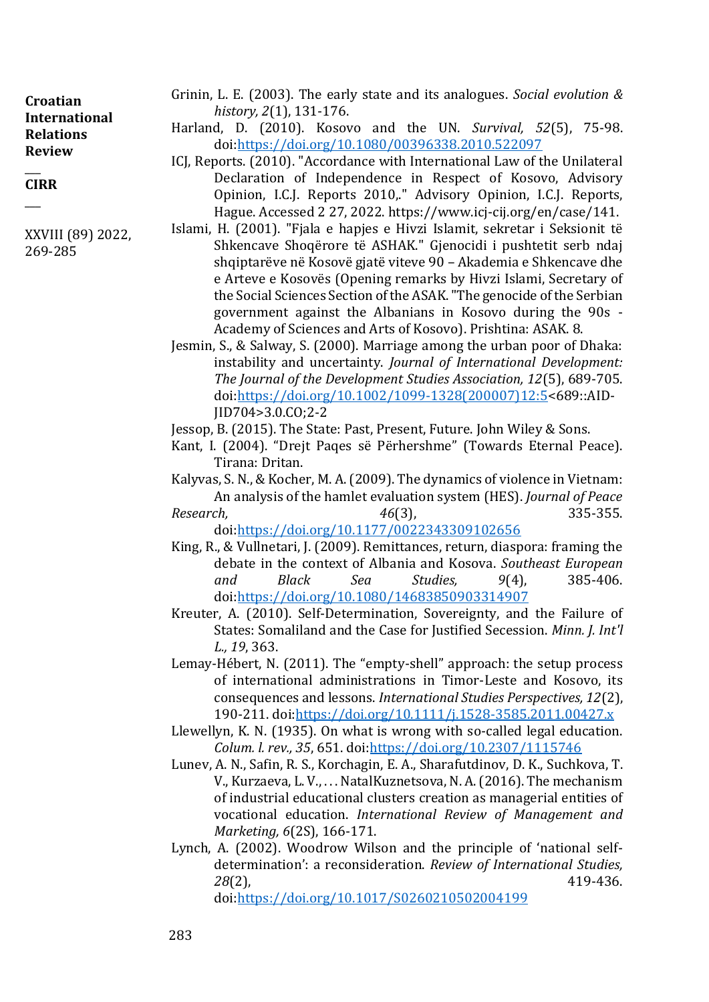$\overline{\phantom{a}}$ **CIRR**  $\overline{\phantom{a}}$ 

XXVIII (89) 2022, 269-285

- Grinin, L. E. (2003). The early state and its analogues. *Social evolution & history, 2*(1), 131-176.
- Harland, D. (2010). Kosovo and the UN. *Survival, 52*(5), 75-98. doi[:https://doi.org/10.1080/00396338.2010.522097](https://doi.org/10.1080/00396338.2010.522097)
- ICJ, Reports. (2010). "Accordance with International Law of the Unilateral Declaration of Independence in Respect of Kosovo, Advisory Opinion, I.C.J. Reports 2010,." Advisory Opinion, I.C.J. Reports, Hague. Accessed 2 27, 2022. https://www.icj-cij.org/en/case/141.
- Islami, H. (2001). "Fjala e hapjes e Hivzi Islamit, sekretar i Seksionit të Shkencave Shoqërore të ASHAK." Gjenocidi i pushtetit serb ndaj shqiptarëve në Kosovë gjatë viteve 90 – Akademia e Shkencave dhe e Arteve e Kosovës (Opening remarks by Hivzi Islami, Secretary of the Social Sciences Section of the ASAK. "The genocide of the Serbian government against the Albanians in Kosovo during the 90s - Academy of Sciences and Arts of Kosovo). Prishtina: ASAK. 8.
- Jesmin, S., & Salway, S. (2000). Marriage among the urban poor of Dhaka: instability and uncertainty. *Journal of International Development: The Journal of the Development Studies Association, 12*(5), 689-705. doi[:https://doi.org/10.1002/1099-1328\(200007\)12:5<](https://doi.org/10.1002/1099-1328(200007)12:5)689::AID-JID704>3.0.CO;2-2
- Jessop, B. (2015). The State: Past, Present, Future. John Wiley & Sons.
- Kant, I. (2004). "Drejt Paqes së Përhershme" (Towards Eternal Peace). Tirana: Dritan.

Kalyvas, S. N., & Kocher, M. A. (2009). The dynamics of violence in Vietnam: An analysis of the hamlet evaluation system (HES). *Journal of Peace Research, 46*(3), 335-355.

doi[:https://doi.org/10.1177/0022343309102656](https://doi.org/10.1177/0022343309102656)

- King, R., & Vullnetari, J. (2009). Remittances, return, diaspora: framing the debate in the context of Albania and Kosova. *Southeast European and Black Sea Studies, 9*(4), 385-406. doi[:https://doi.org/10.1080/14683850903314907](https://doi.org/10.1080/14683850903314907)
- Kreuter, A. (2010). Self-Determination, Sovereignty, and the Failure of States: Somaliland and the Case for Justified Secession. *Minn. J. Int'l L., 19*, 363.
- Lemay-Hébert, N. (2011). The "empty-shell" approach: the setup process of international administrations in Timor-Leste and Kosovo, its consequences and lessons. *International Studies Perspectives, 12*(2), 190-211. doi[:https://doi.org/10.1111/j.1528-3585.2011.00427.x](https://doi.org/10.1111/j.1528-3585.2011.00427.x)
- Llewellyn, K. N. (1935). On what is wrong with so-called legal education. *Colum. l. rev., 35*, 651. doi[:https://doi.org/10.2307/1115746](https://doi.org/10.2307/1115746)
- Lunev, A. N., Safin, R. S., Korchagin, E. A., Sharafutdinov, D. K., Suchkova, T. V., Kurzaeva, L. V., . . . NatalKuznetsova, N. A. (2016). The mechanism of industrial educational clusters creation as managerial entities of vocational education. *International Review of Management and Marketing, 6*(2S), 166-171.
- Lynch, A. (2002). Woodrow Wilson and the principle of 'national selfdetermination': a reconsideration. *Review of International Studies, 28*(2), 419-436.

doi[:https://doi.org/10.1017/S0260210502004199](https://doi.org/10.1017/S0260210502004199)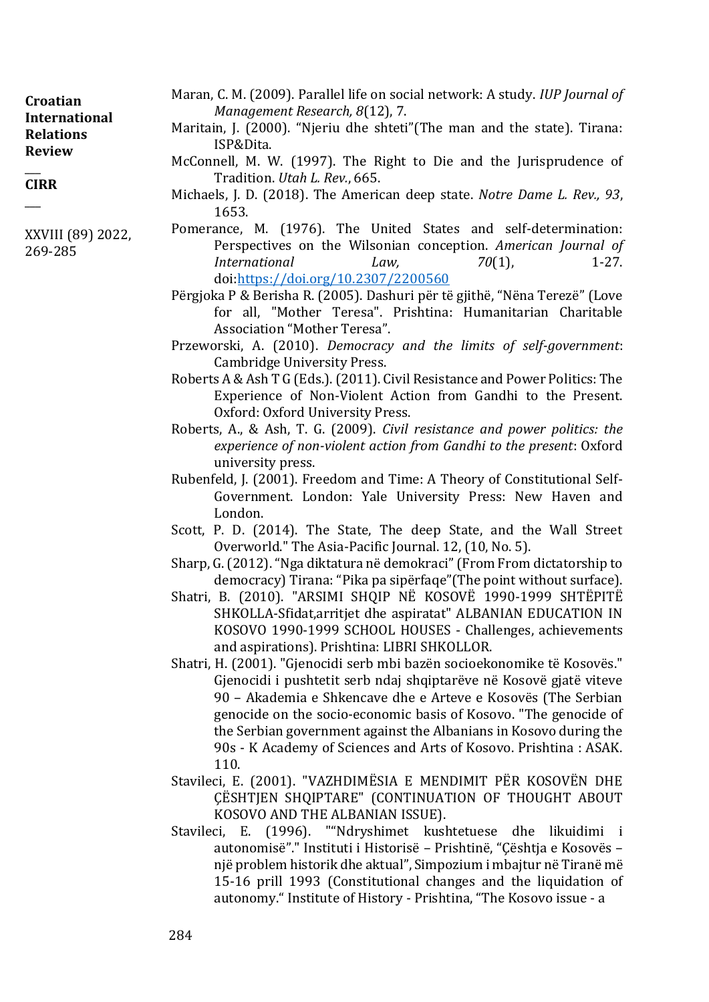| Croatian<br><b>International</b><br><b>Relations</b><br><b>Review</b> | Maran, C. M. (2009). Parallel life on social network: A study. IUP Journal of<br>Management Research, 8(12), 7.<br>Maritain, J. (2000). "Njeriu dhe shteti" (The man and the state). Tirana:<br>ISP&Dita. |
|-----------------------------------------------------------------------|-----------------------------------------------------------------------------------------------------------------------------------------------------------------------------------------------------------|
|                                                                       | McConnell, M. W. (1997). The Right to Die and the Jurisprudence of                                                                                                                                        |
| <b>CIRR</b>                                                           | Tradition. Utah L. Rev., 665.<br>$\mathbf{M} \cup \mathbf{N}$ is the cooler of $\mathbf{M} \cup \mathbf{N}$ in the cool of $\mathbf{M} \cup \mathbf{N}$                                                   |

- Pomerance, M. (1976). The United States and self-determination: Perspectives on the Wilsonian conception. *American Journal of International Law,* 70(1), 1-27. doi[:https://doi.org/10.2307/2200560](https://doi.org/10.2307/2200560)
- Përgjoka P & Berisha R. (2005). Dashuri për të gjithë, "Nëna Terezë" (Love for all, "Mother Teresa". Prishtina: Humanitarian Charitable Association "Mother Teresa".
- Przeworski, A. (2010). *Democracy and the limits of self-government*: Cambridge University Press.
- Roberts A & Ash T G (Eds.). (2011). Civil Resistance and Power Politics: The Experience of Non-Violent Action from Gandhi to the Present. Oxford: Oxford University Press.
- Roberts, A., & Ash, T. G. (2009). *Civil resistance and power politics: the experience of non-violent action from Gandhi to the present*: Oxford university press.
- Rubenfeld, J. (2001). Freedom and Time: A Theory of Constitutional Self-Government. London: Yale University Press: New Haven and London.
- Scott, P. D. (2014). The State, The deep State, and the Wall Street Overworld." The Asia-Pacific Journal. 12, (10, No. 5).
- Sharp, G. (2012). "Nga diktatura në demokraci" (From From dictatorship to democracy) Tirana: "Pika pa sipërfaqe"(The point without surface).
- Shatri, B. (2010). "ARSIMI SHQIP NË KOSOVË 1990-1999 SHTËPITË SHKOLLA-Sfidat,arritjet dhe aspiratat" ALBANIAN EDUCATION IN KOSOVO 1990-1999 SCHOOL HOUSES - Challenges, achievements and aspirations). Prishtina: LIBRI SHKOLLOR.
- Shatri, H. (2001). "Gjenocidi serb mbi bazën socioekonomike të Kosovës." Gjenocidi i pushtetit serb ndaj shqiptarëve në Kosovë gjatë viteve 90 – Akademia e Shkencave dhe e Arteve e Kosovës (The Serbian genocide on the socio-economic basis of Kosovo. "The genocide of the Serbian government against the Albanians in Kosovo during the 90s - K Academy of Sciences and Arts of Kosovo. Prishtina : ASAK. 110.
- Stavileci, E. (2001). "VAZHDIMËSIA E MENDIMIT PËR KOSOVËN DHE ÇËSHTJEN SHQIPTARE" (CONTINUATION OF THOUGHT ABOUT KOSOVO AND THE ALBANIAN ISSUE).
- Stavileci, E. (1996). ""Ndryshimet kushtetuese dhe likuidimi i autonomisë"." Instituti i Historisë – Prishtinë, "Çështja e Kosovës – një problem historik dhe aktual", Simpozium i mbajtur në Tiranë më 15-16 prill 1993 (Constitutional changes and the liquidation of autonomy." Institute of History - Prishtina, "The Kosovo issue - a

XXVIII (89) 2022,

 $\overline{\phantom{a}}$ 

269-285

Michaels, J. D. (2018). The American deep state. *Notre Dame L. Rev., 93*, 1653.